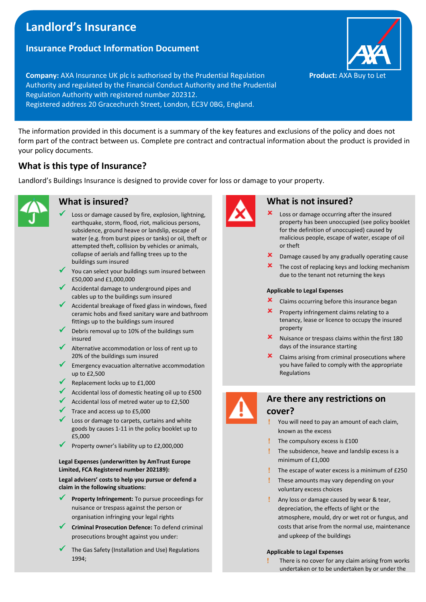# **Landlord's Insurance**

# **Insurance Product Information Document**

**Company:** AXA Insurance UK plc is authorised by the Prudential Regulation **Product:** AXA Buy to Let Authority and regulated by the Financial Conduct Authority and the Prudential Regulation Authority with registered number 202312. Registered address 20 Gracechurch Street, London, EC3V 0BG, England.

The information provided in this document is a summary of the key features and exclusions of the policy and does not form part of the contract between us. Complete pre contract and contractual information about the product is provided in your policy documents.

# **What is this type of Insurance?**

Landlord's Buildings Insurance is designed to provide cover for loss or damage to your property.



# **What is insured?**

- Loss or damage caused by fire, explosion, lightning, earthquake, storm, flood, riot, malicious persons, subsidence, ground heave or landslip, escape of water (e.g. from burst pipes or tanks) or oil, theft or attempted theft, collision by vehicles or animals, collapse of aerials and falling trees up to the buildings sum insured
- You can select your buildings sum insured between £50,000 and £1,000,000
- ✓ Accidental damage to underground pipes and cables up to the buildings sum insured
- ◆ Accidental breakage of fixed glass in windows, fixed ceramic hobs and fixed sanitary ware and bathroom fittings up to the buildings sum insured
- Debris removal up to 10% of the buildings sum insured
- Alternative accommodation or loss of rent up to 20% of the buildings sum insured
- Emergency evacuation alternative accommodation up to £2,500
- Replacement locks up to £1,000
- Accidental loss of domestic heating oil up to £500
- Accidental loss of metred water up to £2,500
- Trace and access up to £5,000
- Loss or damage to carpets, curtains and white goods by causes 1-11 in the policy booklet up to £5,000
- Property owner's liability up to £2,000,000

#### **Legal Expenses (underwritten by AmTrust Europe Limited, FCA Registered number 202189):**

**Legal advisers' costs to help you pursue or defend a claim in the following situations:**

- Property Infringement: To pursue proceedings for nuisance or trespass against the person or organisation infringing your legal rights
- **Criminal Prosecution Defence:** To defend criminal prosecutions brought against you under:
- The Gas Safety (Installation and Use) Regulations 1994;



### **What is not insured?**

- Loss or damage occurring after the insured property has been unoccupied (see policy booklet for the definition of unoccupied) caused by malicious people, escape of water, escape of oil or theft
- Damage caused by any gradually operating cause
- **x** The cost of replacing keys and locking mechanism due to the tenant not returning the keys

#### **Applicable to Legal Expenses**

- **x** Claims occurring before this insurance began
- Property infringement claims relating to a tenancy, lease or licence to occupy the insured property
- Nuisance or trespass claims within the first 180 days of the insurance starting
- $\mathbf{\times}$  Claims arising from criminal prosecutions where you have failed to comply with the appropriate Regulations



# **Are there any restrictions on cover?**

- You will need to pay an amount of each claim, known as the excess
- The compulsory excess is £100
- The subsidence, heave and landslip excess is a minimum of  $f1,000$
- The escape of water excess is a minimum of £250
- **!** These amounts may vary depending on your voluntary excess choices
- Any loss or damage caused by wear & tear, depreciation, the effects of light or the atmosphere, mould, dry or wet rot or fungus, and costs that arise from the normal use, maintenance and upkeep of the buildings

#### **Applicable to Legal Expenses**

 There is no cover for any claim arising from works undertaken or to be undertaken by or under the